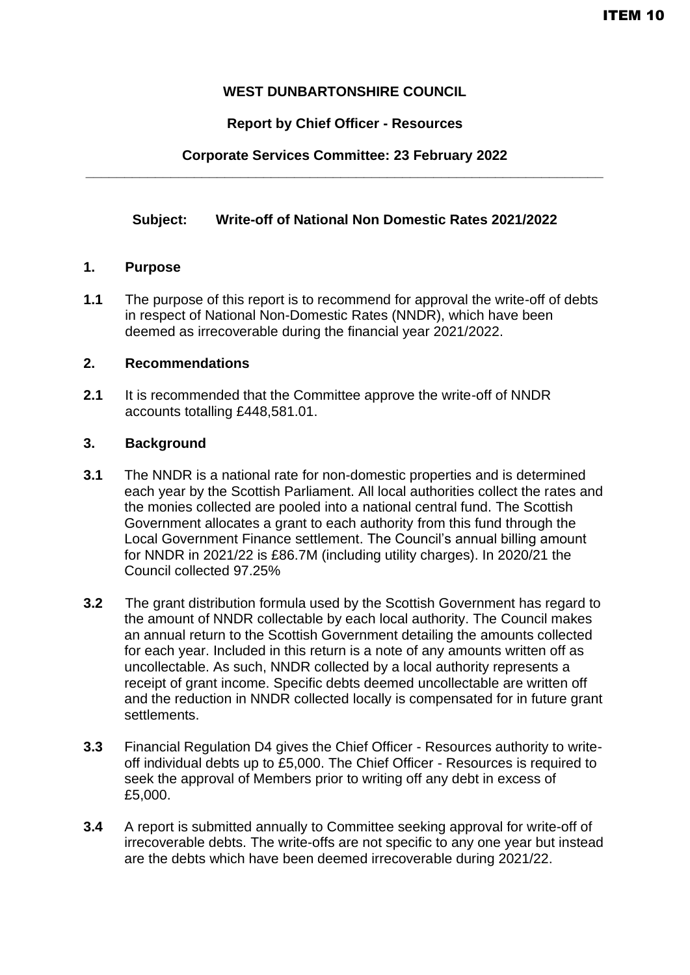# **WEST DUNBARTONSHIRE COUNCIL**

# **Report by Chief Officer - Resources**

# **Corporate Services Committee: 23 February 2022 \_\_\_\_\_\_\_\_\_\_\_\_\_\_\_\_\_\_\_\_\_\_\_\_\_\_\_\_\_\_\_\_\_\_\_\_\_\_\_\_\_\_\_\_\_\_\_\_\_\_\_\_\_\_\_\_\_\_\_\_\_\_\_\_\_\_\_**

## **Subject: Write-off of National Non Domestic Rates 2021/2022**

### **1. Purpose**

**1.1** The purpose of this report is to recommend for approval the write-off of debts in respect of National Non-Domestic Rates (NNDR), which have been deemed as irrecoverable during the financial year 2021/2022.

### **2. Recommendations**

**2.1** It is recommended that the Committee approve the write-off of NNDR accounts totalling £448,581.01.

### **3. Background**

- **3.1** The NNDR is a national rate for non-domestic properties and is determined each year by the Scottish Parliament. All local authorities collect the rates and the monies collected are pooled into a national central fund. The Scottish Government allocates a grant to each authority from this fund through the Local Government Finance settlement. The Council's annual billing amount for NNDR in 2021/22 is £86.7M (including utility charges). In 2020/21 the Council collected 97.25%
- **3.2** The grant distribution formula used by the Scottish Government has regard to the amount of NNDR collectable by each local authority. The Council makes an annual return to the Scottish Government detailing the amounts collected for each year. Included in this return is a note of any amounts written off as uncollectable. As such, NNDR collected by a local authority represents a receipt of grant income. Specific debts deemed uncollectable are written off and the reduction in NNDR collected locally is compensated for in future grant settlements.
- **3.3** Financial Regulation D4 gives the Chief Officer Resources authority to writeoff individual debts up to £5,000. The Chief Officer - Resources is required to seek the approval of Members prior to writing off any debt in excess of £5,000.
- **3.4** A report is submitted annually to Committee seeking approval for write-off of irrecoverable debts. The write-offs are not specific to any one year but instead are the debts which have been deemed irrecoverable during 2021/22.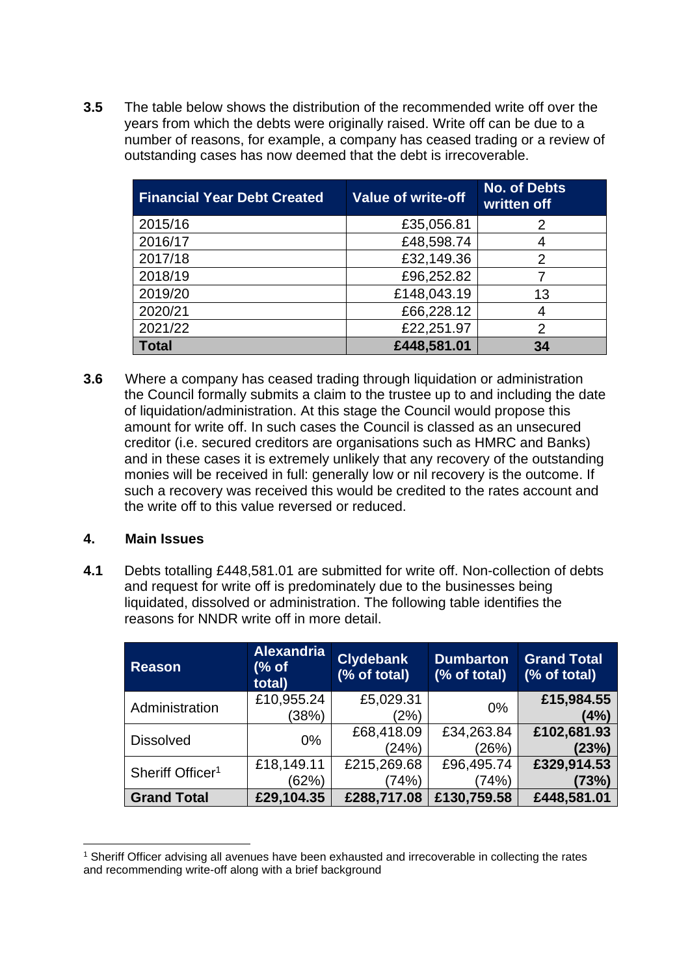**3.5** The table below shows the distribution of the recommended write off over the years from which the debts were originally raised. Write off can be due to a number of reasons, for example, a company has ceased trading or a review of outstanding cases has now deemed that the debt is irrecoverable.

| <b>Financial Year Debt Created</b> | <b>Value of write-off</b> | <b>No. of Debts</b><br>written off |
|------------------------------------|---------------------------|------------------------------------|
| 2015/16                            | £35,056.81                | 2                                  |
| 2016/17                            | £48,598.74                |                                    |
| 2017/18                            | £32,149.36                | 2                                  |
| 2018/19                            | £96,252.82                |                                    |
| 2019/20                            | £148,043.19               | 13                                 |
| 2020/21                            | £66,228.12                | 4                                  |
| 2021/22                            | £22,251.97                | 2                                  |
| Total                              | £448,581.01               | 34                                 |

**3.6** Where a company has ceased trading through liquidation or administration the Council formally submits a claim to the trustee up to and including the date of liquidation/administration. At this stage the Council would propose this amount for write off. In such cases the Council is classed as an unsecured creditor (i.e. secured creditors are organisations such as HMRC and Banks) and in these cases it is extremely unlikely that any recovery of the outstanding monies will be received in full: generally low or nil recovery is the outcome. If such a recovery was received this would be credited to the rates account and the write off to this value reversed or reduced.

### **4. Main Issues**

**4.1** Debts totalling £448,581.01 are submitted for write off. Non-collection of debts and request for write off is predominately due to the businesses being liquidated, dissolved or administration. The following table identifies the reasons for NNDR write off in more detail.

| <b>Reason</b>                | <b>Alexandria</b><br>(% of<br>total) | <b>Clydebank</b><br>(% of total) | <b>Dumbarton</b><br>(% of total) | <b>Grand Total</b><br>(% of total) |
|------------------------------|--------------------------------------|----------------------------------|----------------------------------|------------------------------------|
| Administration               | £10,955.24<br>(38%)                  | £5,029.31<br>(2%)                | $0\%$                            | £15,984.55<br>(4%)                 |
| <b>Dissolved</b>             | 0%                                   | £68,418.09<br>(24%)              | £34,263.84<br>(26%)              | £102,681.93<br>(23%)               |
| Sheriff Officer <sup>1</sup> | £18,149.11<br>(62%)                  | £215,269.68<br>(74%)             | £96,495.74<br>(74%)              | £329,914.53<br>(73%)               |
| <b>Grand Total</b>           | £29,104.35                           | £288,717.08                      | £130,759.58                      | £448,581.01                        |

<sup>1</sup> Sheriff Officer advising all avenues have been exhausted and irrecoverable in collecting the rates and recommending write-off along with a brief background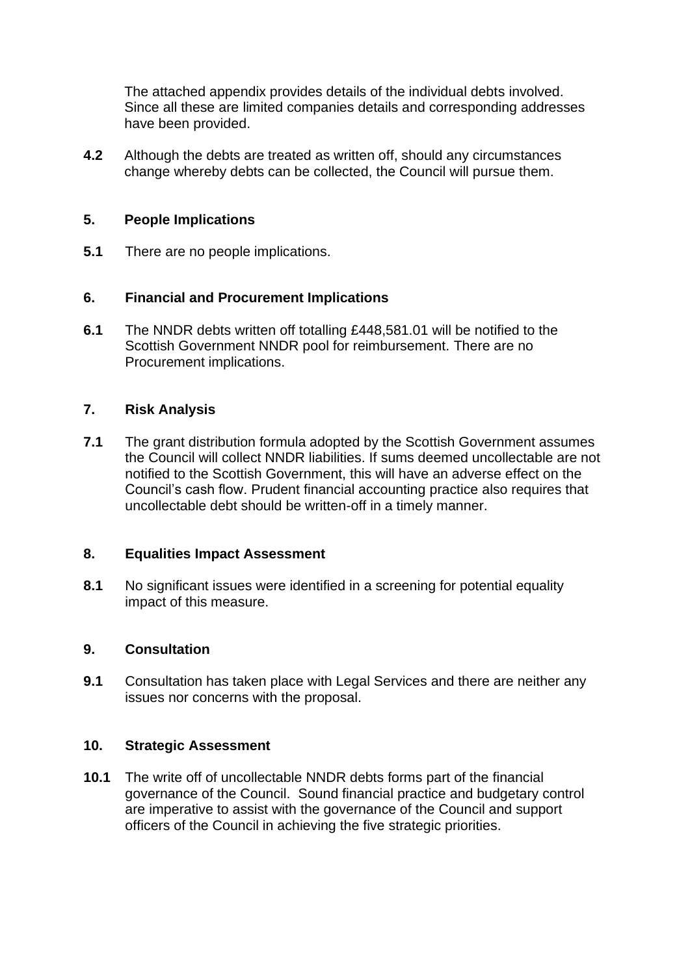The attached appendix provides details of the individual debts involved. Since all these are limited companies details and corresponding addresses have been provided.

**4.2** Although the debts are treated as written off, should any circumstances change whereby debts can be collected, the Council will pursue them.

### **5. People Implications**

**5.1** There are no people implications.

## **6. Financial and Procurement Implications**

**6.1** The NNDR debts written off totalling £448,581.01 will be notified to the Scottish Government NNDR pool for reimbursement. There are no Procurement implications.

### **7. Risk Analysis**

**7.1** The grant distribution formula adopted by the Scottish Government assumes the Council will collect NNDR liabilities. If sums deemed uncollectable are not notified to the Scottish Government, this will have an adverse effect on the Council's cash flow. Prudent financial accounting practice also requires that uncollectable debt should be written-off in a timely manner.

#### **8. Equalities Impact Assessment**

**8.1** No significant issues were identified in a screening for potential equality impact of this measure.

#### **9. Consultation**

**9.1** Consultation has taken place with Legal Services and there are neither any issues nor concerns with the proposal.

#### **10. Strategic Assessment**

**10.1** The write off of uncollectable NNDR debts forms part of the financial governance of the Council. Sound financial practice and budgetary control are imperative to assist with the governance of the Council and support officers of the Council in achieving the five strategic priorities.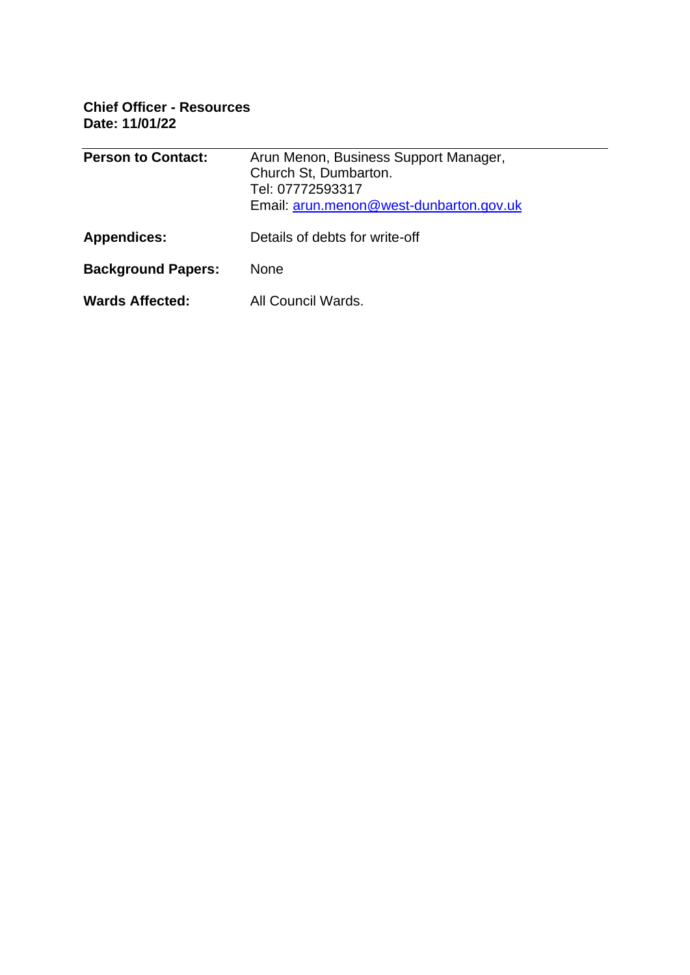**Chief Officer - Resources Date: 11/01/22**

| <b>Person to Contact:</b> | Arun Menon, Business Support Manager,<br>Church St, Dumbarton.<br>Tel: 07772593317<br>Email: arun.menon@west-dunbarton.gov.uk |  |
|---------------------------|-------------------------------------------------------------------------------------------------------------------------------|--|
| <b>Appendices:</b>        | Details of debts for write-off                                                                                                |  |
| <b>Background Papers:</b> | None                                                                                                                          |  |
| <b>Wards Affected:</b>    | All Council Wards.                                                                                                            |  |